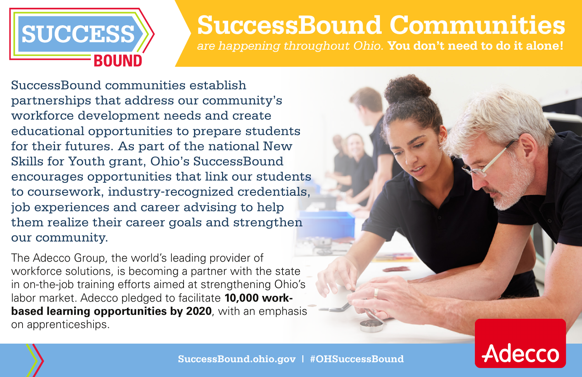

## **SuccessBound Communities**

*are happening throughout Ohio.* **You don't need to do it alone!** 

SuccessBound communities establish partnerships that address our community's workforce development needs and create educational opportunities to prepare students for their futures. As part of the national New Skills for Youth grant, Ohio's SuccessBound encourages opportunities that link our students to coursework, industry-recognized credentials, job experiences and career advising to help them realize their career goals and strengthen our community.

The Adecco Group, the world's leading provider of workforce solutions, is becoming a partner with the state in on-the-job training efforts aimed at strengthening Ohio's labor market. Adecco pledged to facilitate **10,000 workbased learning opportunities by 2020**, with an emphasis on apprenticeships.